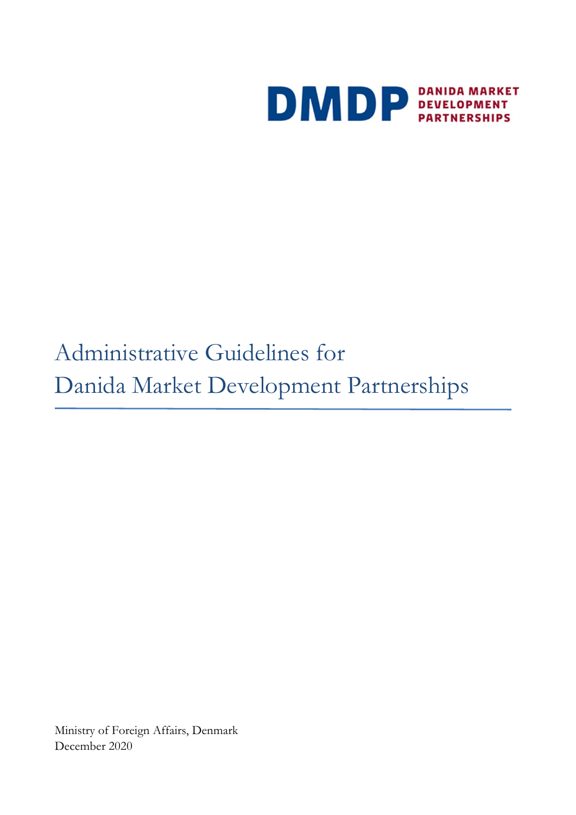

# Administrative Guidelines for Danida Market Development Partnerships

Ministry of Foreign Affairs, Denmark December 2020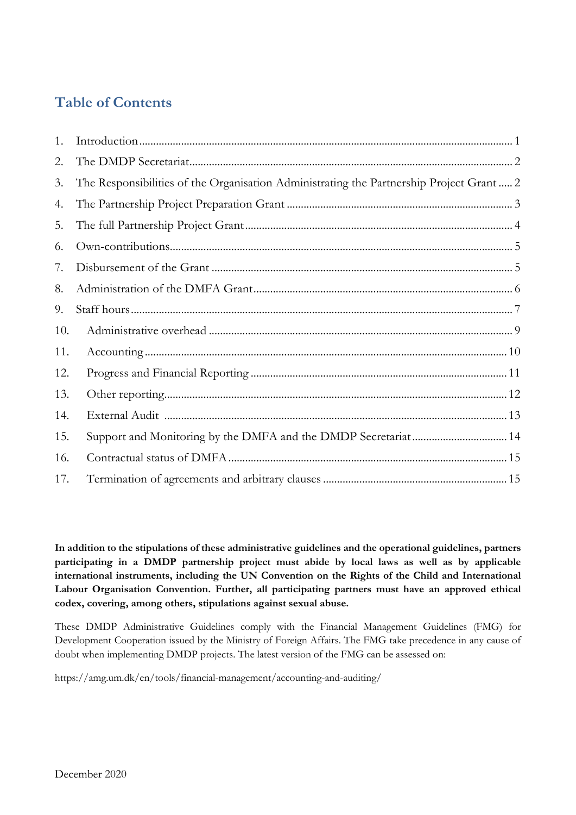# **Table of Contents**

| 1.  |                                                                                         |
|-----|-----------------------------------------------------------------------------------------|
| 2.  |                                                                                         |
| 3.  | The Responsibilities of the Organisation Administrating the Partnership Project Grant 2 |
| 4.  |                                                                                         |
| 5.  |                                                                                         |
| 6.  |                                                                                         |
| 7.  |                                                                                         |
| 8.  |                                                                                         |
| 9.  |                                                                                         |
| 10. |                                                                                         |
| 11. |                                                                                         |
| 12. |                                                                                         |
| 13. |                                                                                         |
| 14. |                                                                                         |
| 15. |                                                                                         |
| 16. |                                                                                         |
| 17. |                                                                                         |

**In addition to the stipulations of these administrative guidelines and the operational guidelines, partners participating in a DMDP partnership project must abide by local laws as well as by applicable international instruments, including the UN Convention on the Rights of the Child and International Labour Organisation Convention. Further, all participating partners must have an approved ethical codex, covering, among others, stipulations against sexual abuse.** 

These DMDP Administrative Guidelines comply with the Financial Management Guidelines (FMG) for Development Cooperation issued by the Ministry of Foreign Affairs. The FMG take precedence in any cause of doubt when implementing DMDP projects. The latest version of the FMG can be assessed on:

https://amg.um.dk/en/tools/financial-management/accounting-and-auditing/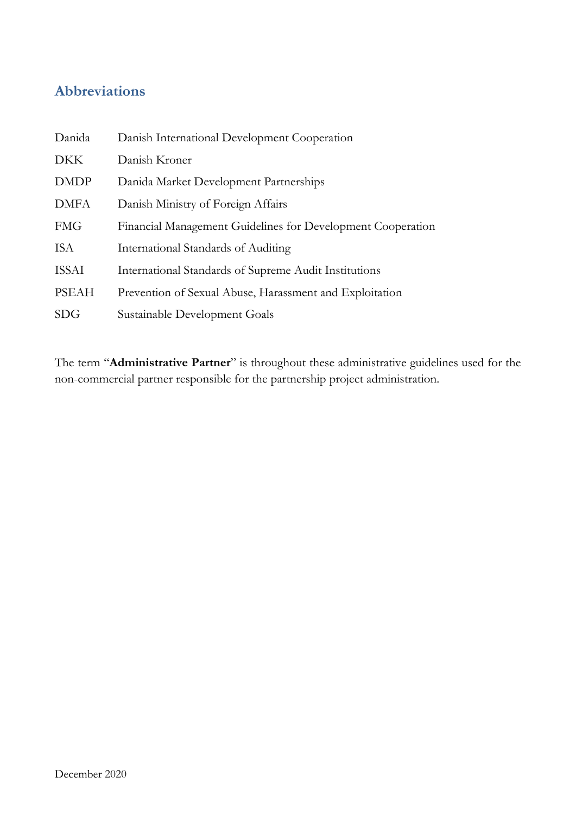## **Abbreviations**

| Danida       | Danish International Development Cooperation                |
|--------------|-------------------------------------------------------------|
| <b>DKK</b>   | Danish Kroner                                               |
| <b>DMDP</b>  | Danida Market Development Partnerships                      |
| <b>DMFA</b>  | Danish Ministry of Foreign Affairs                          |
| <b>FMG</b>   | Financial Management Guidelines for Development Cooperation |
| <b>ISA</b>   | International Standards of Auditing                         |
| <b>ISSAI</b> | International Standards of Supreme Audit Institutions       |
| <b>PSEAH</b> | Prevention of Sexual Abuse, Harassment and Exploitation     |
| <b>SDG</b>   | Sustainable Development Goals                               |

The term "**Administrative Partner**" is throughout these administrative guidelines used for the non-commercial partner responsible for the partnership project administration.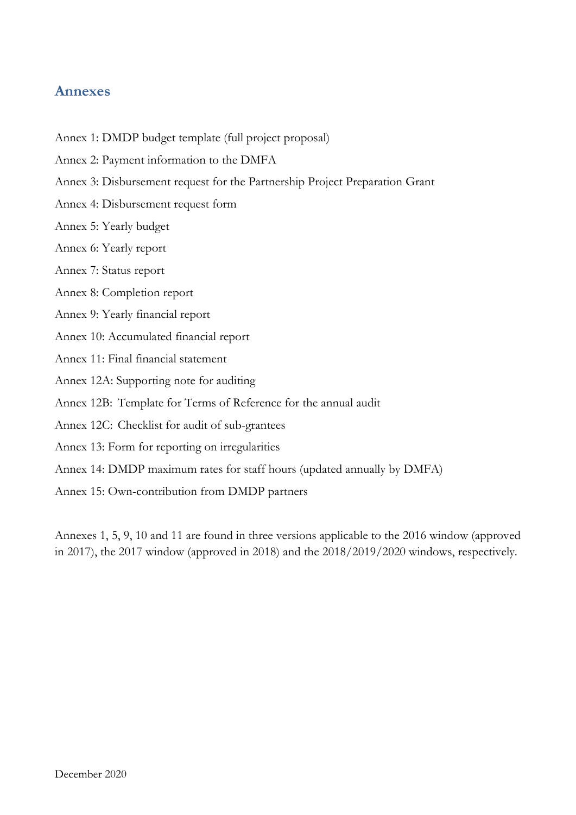#### **Annexes**

- Annex 1: DMDP budget template (full project proposal)
- Annex 2: Payment information to the DMFA
- Annex 3: Disbursement request for the Partnership Project Preparation Grant
- Annex 4: Disbursement request form
- Annex 5: Yearly budget
- Annex 6: Yearly report
- Annex 7: Status report
- Annex 8: Completion report
- Annex 9: Yearly financial report
- Annex 10: Accumulated financial report
- Annex 11: Final financial statement
- Annex 12A: Supporting note for auditing
- Annex 12B: Template for Terms of Reference for the annual audit
- Annex 12C: Checklist for audit of sub-grantees
- Annex 13: Form for reporting on irregularities
- Annex 14: DMDP maximum rates for staff hours (updated annually by DMFA)
- Annex 15: Own-contribution from DMDP partners

Annexes 1, 5, 9, 10 and 11 are found in three versions applicable to the 2016 window (approved in 2017), the 2017 window (approved in 2018) and the 2018/2019/2020 windows, respectively.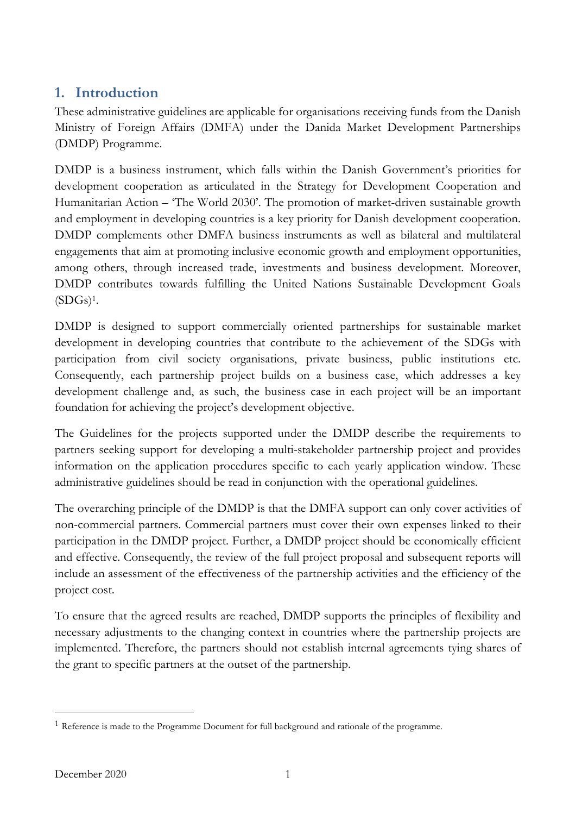## **1. Introduction**

These administrative guidelines are applicable for organisations receiving funds from the Danish Ministry of Foreign Affairs (DMFA) under the Danida Market Development Partnerships (DMDP) Programme.

DMDP is a business instrument, which falls within the Danish Government's priorities for development cooperation as articulated in the Strategy for Development Cooperation and Humanitarian Action – 'The World 2030'. The promotion of market-driven sustainable growth and employment in developing countries is a key priority for Danish development cooperation. DMDP complements other DMFA business instruments as well as bilateral and multilateral engagements that aim at promoting inclusive economic growth and employment opportunities, among others, through increased trade, investments and business development. Moreover, DMDP contributes towards fulfilling the United Nations Sustainable Development Goals  $(SDGs)^1$ .

DMDP is designed to support commercially oriented partnerships for sustainable market development in developing countries that contribute to the achievement of the SDGs with participation from civil society organisations, private business, public institutions etc. Consequently, each partnership project builds on a business case, which addresses a key development challenge and, as such, the business case in each project will be an important foundation for achieving the project's development objective.

The Guidelines for the projects supported under the DMDP describe the requirements to partners seeking support for developing a multi-stakeholder partnership project and provides information on the application procedures specific to each yearly application window. These administrative guidelines should be read in conjunction with the operational guidelines.

The overarching principle of the DMDP is that the DMFA support can only cover activities of non-commercial partners. Commercial partners must cover their own expenses linked to their participation in the DMDP project. Further, a DMDP project should be economically efficient and effective. Consequently, the review of the full project proposal and subsequent reports will include an assessment of the effectiveness of the partnership activities and the efficiency of the project cost.

To ensure that the agreed results are reached, DMDP supports the principles of flexibility and necessary adjustments to the changing context in countries where the partnership projects are implemented. Therefore, the partners should not establish internal agreements tying shares of the grant to specific partners at the outset of the partnership.

<sup>1</sup> Reference is made to the Programme Document for full background and rationale of the programme.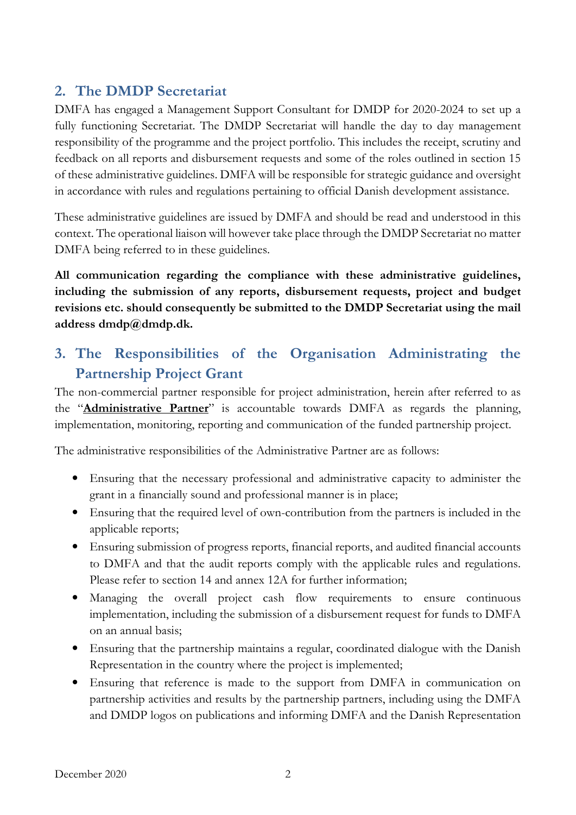## **2. The DMDP Secretariat**

DMFA has engaged a Management Support Consultant for DMDP for 2020-2024 to set up a fully functioning Secretariat. The DMDP Secretariat will handle the day to day management responsibility of the programme and the project portfolio. This includes the receipt, scrutiny and feedback on all reports and disbursement requests and some of the roles outlined in section 15 of these administrative guidelines. DMFA will be responsible for strategic guidance and oversight in accordance with rules and regulations pertaining to official Danish development assistance.

These administrative guidelines are issued by DMFA and should be read and understood in this context. The operational liaison will however take place through the DMDP Secretariat no matter DMFA being referred to in these guidelines.

**All communication regarding the compliance with these administrative guidelines, including the submission of any reports, disbursement requests, project and budget revisions etc. should consequently be submitted to the DMDP Secretariat using the mail address dmdp@dmdp.dk.** 

# **3. The Responsibilities of the Organisation Administrating the Partnership Project Grant**

The non-commercial partner responsible for project administration, herein after referred to as the "**Administrative Partner**" is accountable towards DMFA as regards the planning, implementation, monitoring, reporting and communication of the funded partnership project.

The administrative responsibilities of the Administrative Partner are as follows:

- Ensuring that the necessary professional and administrative capacity to administer the grant in a financially sound and professional manner is in place;
- Ensuring that the required level of own-contribution from the partners is included in the applicable reports;
- Ensuring submission of progress reports, financial reports, and audited financial accounts to DMFA and that the audit reports comply with the applicable rules and regulations. Please refer to section 14 and annex 12A for further information;
- Managing the overall project cash flow requirements to ensure continuous implementation, including the submission of a disbursement request for funds to DMFA on an annual basis;
- Ensuring that the partnership maintains a regular, coordinated dialogue with the Danish Representation in the country where the project is implemented;
- Ensuring that reference is made to the support from DMFA in communication on partnership activities and results by the partnership partners, including using the DMFA and DMDP logos on publications and informing DMFA and the Danish Representation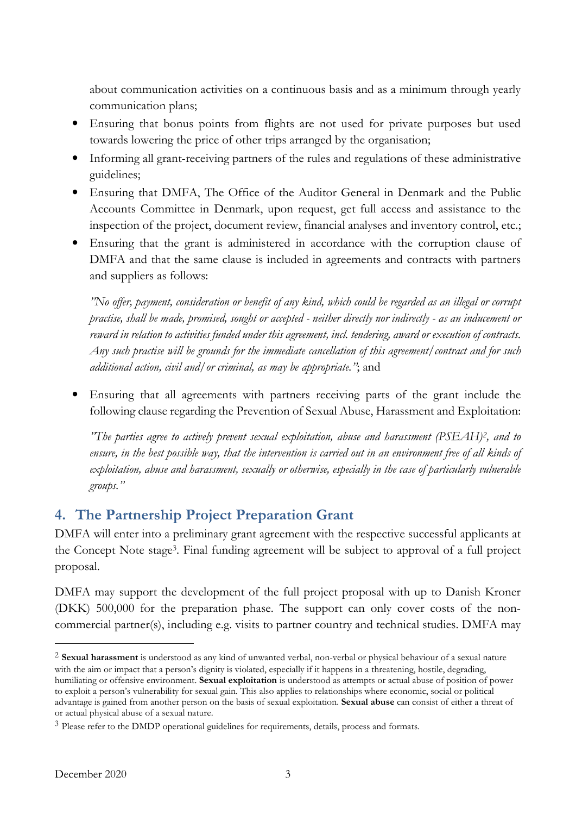about communication activities on a continuous basis and as a minimum through yearly communication plans;

- Ensuring that bonus points from flights are not used for private purposes but used towards lowering the price of other trips arranged by the organisation;
- Informing all grant-receiving partners of the rules and regulations of these administrative guidelines;
- Ensuring that DMFA, The Office of the Auditor General in Denmark and the Public Accounts Committee in Denmark, upon request, get full access and assistance to the inspection of the project, document review, financial analyses and inventory control, etc.;
- Ensuring that the grant is administered in accordance with the corruption clause of DMFA and that the same clause is included in agreements and contracts with partners and suppliers as follows:

*"No offer, payment, consideration or benefit of any kind, which could be regarded as an illegal or corrupt practise, shall be made, promised, sought or accepted - neither directly nor indirectly - as an inducement or reward in relation to activities funded under this agreement, incl. tendering, award or execution of contracts. Any such practise will be grounds for the immediate cancellation of this agreement/contract and for such additional action, civil and/or criminal, as may be appropriate."*; and

• Ensuring that all agreements with partners receiving parts of the grant include the following clause regarding the Prevention of Sexual Abuse, Harassment and Exploitation:

*"The parties agree to actively prevent sexual exploitation, abuse and harassment (PSEAH)<sup>2</sup> , and to*  ensure, in the best possible way, that the intervention is carried out in an environment free of all kinds of *exploitation, abuse and harassment, sexually or otherwise, especially in the case of particularly vulnerable groups."* 

# **4. The Partnership Project Preparation Grant**

DMFA will enter into a preliminary grant agreement with the respective successful applicants at the Concept Note stage<sup>3</sup> . Final funding agreement will be subject to approval of a full project proposal.

DMFA may support the development of the full project proposal with up to Danish Kroner (DKK) 500,000 for the preparation phase. The support can only cover costs of the noncommercial partner(s), including e.g. visits to partner country and technical studies. DMFA may

<sup>2</sup> **Sexual harassment** is understood as any kind of unwanted verbal, non-verbal or physical behaviour of a sexual nature with the aim or impact that a person's dignity is violated, especially if it happens in a threatening, hostile, degrading, humiliating or offensive environment. **Sexual exploitation** is understood as attempts or actual abuse of position of power to exploit a person's vulnerability for sexual gain. This also applies to relationships where economic, social or political advantage is gained from another person on the basis of sexual exploitation. **Sexual abuse** can consist of either a threat of or actual physical abuse of a sexual nature.

<sup>3</sup> Please refer to the DMDP operational guidelines for requirements, details, process and formats.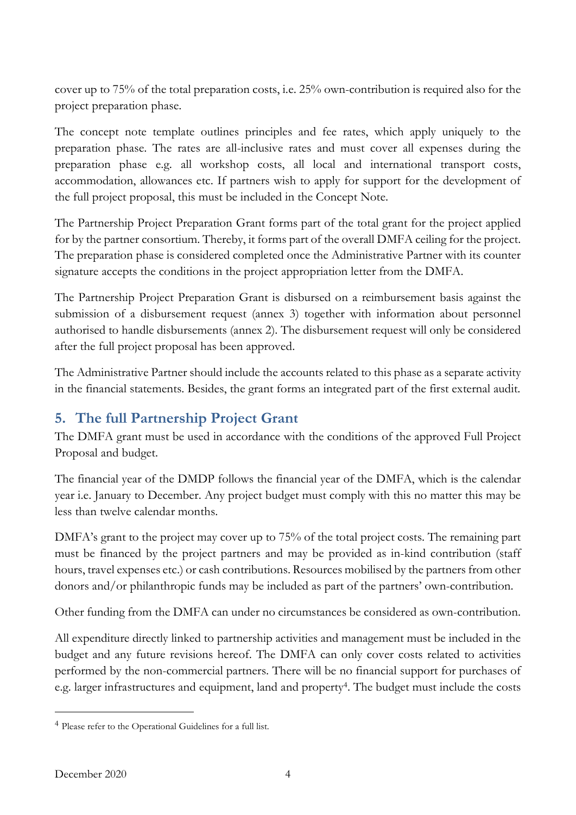cover up to 75% of the total preparation costs, i.e. 25% own-contribution is required also for the project preparation phase.

The concept note template outlines principles and fee rates, which apply uniquely to the preparation phase. The rates are all-inclusive rates and must cover all expenses during the preparation phase e.g. all workshop costs, all local and international transport costs, accommodation, allowances etc. If partners wish to apply for support for the development of the full project proposal, this must be included in the Concept Note.

The Partnership Project Preparation Grant forms part of the total grant for the project applied for by the partner consortium. Thereby, it forms part of the overall DMFA ceiling for the project. The preparation phase is considered completed once the Administrative Partner with its counter signature accepts the conditions in the project appropriation letter from the DMFA.

The Partnership Project Preparation Grant is disbursed on a reimbursement basis against the submission of a disbursement request (annex 3) together with information about personnel authorised to handle disbursements (annex 2). The disbursement request will only be considered after the full project proposal has been approved.

The Administrative Partner should include the accounts related to this phase as a separate activity in the financial statements. Besides, the grant forms an integrated part of the first external audit.

# **5. The full Partnership Project Grant**

The DMFA grant must be used in accordance with the conditions of the approved Full Project Proposal and budget.

The financial year of the DMDP follows the financial year of the DMFA, which is the calendar year i.e. January to December. Any project budget must comply with this no matter this may be less than twelve calendar months.

DMFA's grant to the project may cover up to 75% of the total project costs. The remaining part must be financed by the project partners and may be provided as in-kind contribution (staff hours, travel expenses etc.) or cash contributions. Resources mobilised by the partners from other donors and/or philanthropic funds may be included as part of the partners' own-contribution.

Other funding from the DMFA can under no circumstances be considered as own-contribution.

All expenditure directly linked to partnership activities and management must be included in the budget and any future revisions hereof. The DMFA can only cover costs related to activities performed by the non-commercial partners. There will be no financial support for purchases of e.g. larger infrastructures and equipment, land and property 4 . The budget must include the costs

<sup>4</sup> Please refer to the Operational Guidelines for a full list.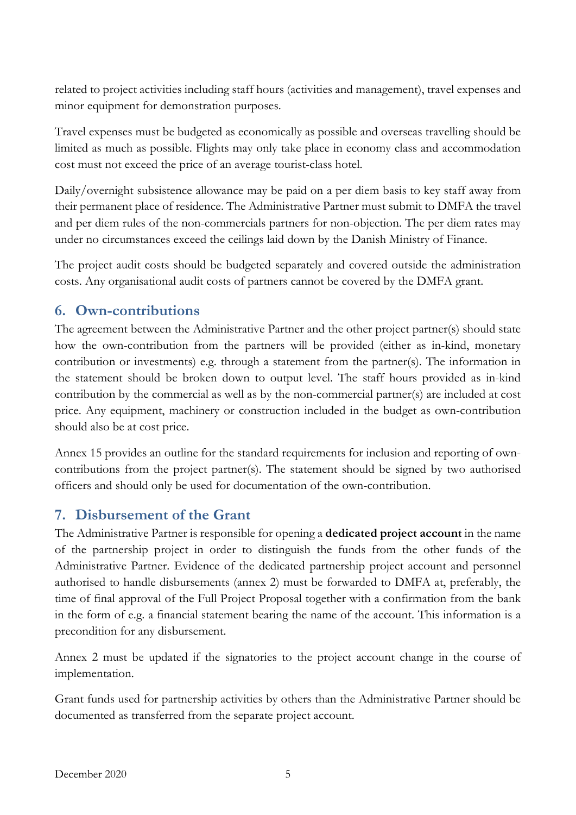related to project activities including staff hours (activities and management), travel expenses and minor equipment for demonstration purposes.

Travel expenses must be budgeted as economically as possible and overseas travelling should be limited as much as possible. Flights may only take place in economy class and accommodation cost must not exceed the price of an average tourist-class hotel.

Daily/overnight subsistence allowance may be paid on a per diem basis to key staff away from their permanent place of residence. The Administrative Partner must submit to DMFA the travel and per diem rules of the non-commercials partners for non-objection. The per diem rates may under no circumstances exceed the ceilings laid down by the Danish Ministry of Finance.

The project audit costs should be budgeted separately and covered outside the administration costs. Any organisational audit costs of partners cannot be covered by the DMFA grant.

#### **6. Own-contributions**

The agreement between the Administrative Partner and the other project partner(s) should state how the own-contribution from the partners will be provided (either as in-kind, monetary contribution or investments) e.g. through a statement from the partner(s). The information in the statement should be broken down to output level. The staff hours provided as in-kind contribution by the commercial as well as by the non-commercial partner(s) are included at cost price. Any equipment, machinery or construction included in the budget as own-contribution should also be at cost price.

Annex 15 provides an outline for the standard requirements for inclusion and reporting of owncontributions from the project partner(s). The statement should be signed by two authorised officers and should only be used for documentation of the own-contribution.

## **7. Disbursement of the Grant**

The Administrative Partner is responsible for opening a **dedicated project account** in the name of the partnership project in order to distinguish the funds from the other funds of the Administrative Partner. Evidence of the dedicated partnership project account and personnel authorised to handle disbursements (annex 2) must be forwarded to DMFA at, preferably, the time of final approval of the Full Project Proposal together with a confirmation from the bank in the form of e.g. a financial statement bearing the name of the account. This information is a precondition for any disbursement.

Annex 2 must be updated if the signatories to the project account change in the course of implementation.

Grant funds used for partnership activities by others than the Administrative Partner should be documented as transferred from the separate project account.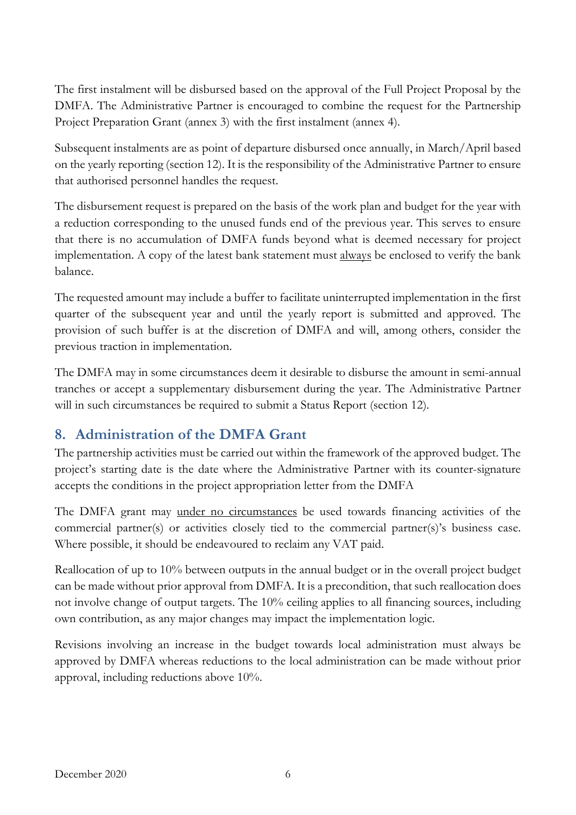The first instalment will be disbursed based on the approval of the Full Project Proposal by the DMFA. The Administrative Partner is encouraged to combine the request for the Partnership Project Preparation Grant (annex 3) with the first instalment (annex 4).

Subsequent instalments are as point of departure disbursed once annually, in March/April based on the yearly reporting (section 12). It is the responsibility of the Administrative Partner to ensure that authorised personnel handles the request.

The disbursement request is prepared on the basis of the work plan and budget for the year with a reduction corresponding to the unused funds end of the previous year. This serves to ensure that there is no accumulation of DMFA funds beyond what is deemed necessary for project implementation. A copy of the latest bank statement must always be enclosed to verify the bank balance.

The requested amount may include a buffer to facilitate uninterrupted implementation in the first quarter of the subsequent year and until the yearly report is submitted and approved. The provision of such buffer is at the discretion of DMFA and will, among others, consider the previous traction in implementation.

The DMFA may in some circumstances deem it desirable to disburse the amount in semi-annual tranches or accept a supplementary disbursement during the year. The Administrative Partner will in such circumstances be required to submit a Status Report (section 12).

# **8. Administration of the DMFA Grant**

The partnership activities must be carried out within the framework of the approved budget. The project's starting date is the date where the Administrative Partner with its counter-signature accepts the conditions in the project appropriation letter from the DMFA

The DMFA grant may under no circumstances be used towards financing activities of the commercial partner(s) or activities closely tied to the commercial partner(s)'s business case. Where possible, it should be endeavoured to reclaim any VAT paid.

Reallocation of up to 10% between outputs in the annual budget or in the overall project budget can be made without prior approval from DMFA. It is a precondition, that such reallocation does not involve change of output targets. The 10% ceiling applies to all financing sources, including own contribution, as any major changes may impact the implementation logic.

Revisions involving an increase in the budget towards local administration must always be approved by DMFA whereas reductions to the local administration can be made without prior approval, including reductions above 10%.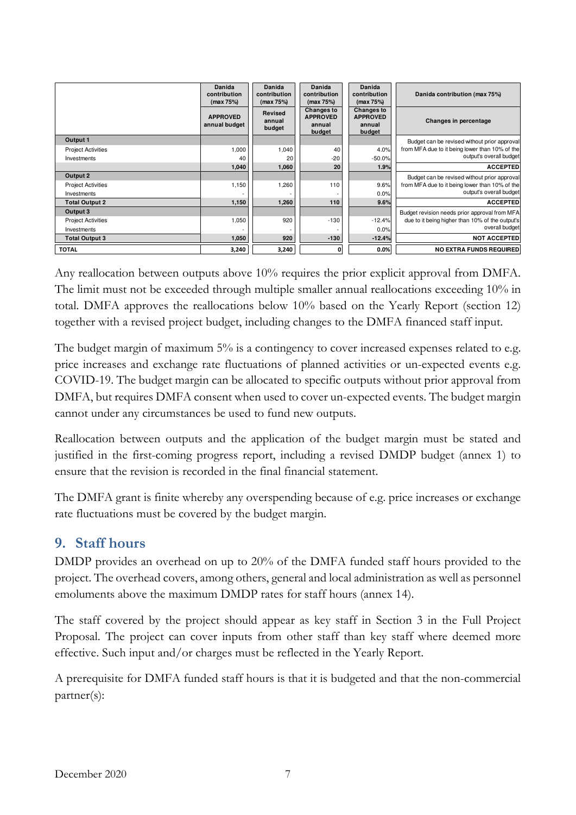|                           | Danida<br>contribution<br>(max 75%) | Danida<br>contribution<br>(max 75%) | Danida<br>contribution<br>(max $75\%$ )           | Danida<br>contribution<br>(max 75%)               | Danida contribution (max 75%)                   |
|---------------------------|-------------------------------------|-------------------------------------|---------------------------------------------------|---------------------------------------------------|-------------------------------------------------|
|                           | <b>APPROVED</b><br>annual budget    | Revised<br>annual<br>budget         | Changes to<br><b>APPROVED</b><br>annual<br>budget | Changes to<br><b>APPROVED</b><br>annual<br>budget | Changes in percentage                           |
| Output 1                  |                                     |                                     |                                                   |                                                   | Budget can be revised without prior approval    |
| <b>Project Activities</b> | 1,000                               | 1,040                               | 40                                                | 4.0%                                              | from MFA due to it being lower than 10% of the  |
| Investments               | 40                                  | 20                                  | $-20$                                             | $-50.0%$                                          | output's overall budget                         |
|                           | 1.040                               | 1,060                               | 20                                                | 1.9%                                              | <b>ACCEPTED</b>                                 |
| Output 2                  |                                     |                                     |                                                   |                                                   | Budget can be revised without prior approval    |
| <b>Project Activities</b> | 1,150                               | ,260                                | 110                                               | 9.6%                                              | from MFA due to it being lower than 10% of the  |
| Investments               |                                     |                                     |                                                   | 0.0%                                              | output's overall budget                         |
| <b>Total Output 2</b>     | 1,150                               | 1,260                               | 110                                               | 9.6%                                              | <b>ACCEPTED</b>                                 |
| Output 3                  |                                     |                                     |                                                   |                                                   | Budget revision needs prior approval from MFA   |
| <b>Project Activities</b> | 1,050                               | 920                                 | $-130$                                            | $-12.4%$                                          | due to it being higher than 10% of the output's |
| Investments               |                                     |                                     |                                                   | 0.0%                                              | overall budget                                  |
| <b>Total Output 3</b>     | 1,050                               | 920                                 | $-130$                                            | $-12.4%$                                          | <b>NOT ACCEPTED</b>                             |
| <b>TOTAL</b>              | 3,240                               | 3,240                               | 0                                                 | 0.0%                                              | <b>NO EXTRA FUNDS REQUIRED</b>                  |

Any reallocation between outputs above 10% requires the prior explicit approval from DMFA. The limit must not be exceeded through multiple smaller annual reallocations exceeding 10% in total. DMFA approves the reallocations below 10% based on the Yearly Report (section 12) together with a revised project budget, including changes to the DMFA financed staff input.

The budget margin of maximum 5% is a contingency to cover increased expenses related to e.g. price increases and exchange rate fluctuations of planned activities or un-expected events e.g. COVID-19. The budget margin can be allocated to specific outputs without prior approval from DMFA, but requires DMFA consent when used to cover un-expected events. The budget margin cannot under any circumstances be used to fund new outputs.

Reallocation between outputs and the application of the budget margin must be stated and justified in the first-coming progress report, including a revised DMDP budget (annex 1) to ensure that the revision is recorded in the final financial statement.

The DMFA grant is finite whereby any overspending because of e.g. price increases or exchange rate fluctuations must be covered by the budget margin.

#### **9. Staff hours**

DMDP provides an overhead on up to 20% of the DMFA funded staff hours provided to the project. The overhead covers, among others, general and local administration as well as personnel emoluments above the maximum DMDP rates for staff hours (annex 14).

The staff covered by the project should appear as key staff in Section 3 in the Full Project Proposal. The project can cover inputs from other staff than key staff where deemed more effective. Such input and/or charges must be reflected in the Yearly Report.

A prerequisite for DMFA funded staff hours is that it is budgeted and that the non-commercial partner(s):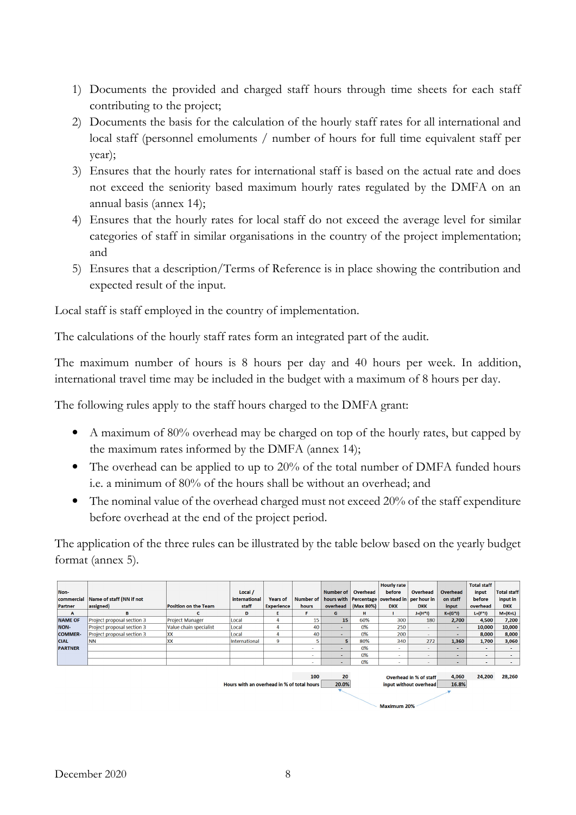- 1) Documents the provided and charged staff hours through time sheets for each staff contributing to the project;
- 2) Documents the basis for the calculation of the hourly staff rates for all international and local staff (personnel emoluments / number of hours for full time equivalent staff per year);
- 3) Ensures that the hourly rates for international staff is based on the actual rate and does not exceed the seniority based maximum hourly rates regulated by the DMFA on an annual basis (annex 14);
- 4) Ensures that the hourly rates for local staff do not exceed the average level for similar categories of staff in similar organisations in the country of the project implementation; and
- 5) Ensures that a description/Terms of Reference is in place showing the contribution and expected result of the input.

Local staff is staff employed in the country of implementation.

The calculations of the hourly staff rates form an integrated part of the audit.

The maximum number of hours is 8 hours per day and 40 hours per week. In addition, international travel time may be included in the budget with a maximum of 8 hours per day.

The following rules apply to the staff hours charged to the DMFA grant:

- A maximum of 80% overhead may be charged on top of the hourly rates, but capped by the maximum rates informed by the DMFA (annex 14);
- The overhead can be applied to up to 20% of the total number of DMFA funded hours i.e. a minimum of 80% of the hours shall be without an overhead; and
- The nominal value of the overhead charged must not exceed 20% of the staff expenditure before overhead at the end of the project period.

The application of the three rules can be illustrated by the table below based on the yearly budget format (annex 5).

|                                            |                            |                             |               |                   |           |                |           | <b>Hourly rate</b>                            |                          |                | <b>Total staff</b> |                    |
|--------------------------------------------|----------------------------|-----------------------------|---------------|-------------------|-----------|----------------|-----------|-----------------------------------------------|--------------------------|----------------|--------------------|--------------------|
| Non-                                       |                            |                             | Local /       |                   |           | Number of 1    | Overhead  | before                                        | Overhead                 | Overhead       | input              | <b>Total staff</b> |
| commercial                                 | Name of staff (NN if not   |                             | international | <b>Years of</b>   | Number of |                |           | hours with Percentage overhead in per hour in |                          | on staff       | before             | input in           |
| Partner                                    | assigned)                  | <b>Position on the Team</b> | staff         | <b>Experience</b> | hours     | overhead       | (Max 80%) | <b>DKK</b>                                    | <b>DKK</b>               | input          | overhead           | <b>DKK</b>         |
| $\mathbf{A}$                               | B                          |                             | D             | Е                 | F.        | G              | н         |                                               | $J=(H^*I)$               | $K = (G^*)$    | $L=(F^*1)$         | $M=(K+L)$          |
| <b>NAME OF</b>                             | Project proposal section 3 | <b>Project Manager</b>      | Local         | 4                 | 15        | 15             | 60%       | 300                                           | 180                      | 2,700          | 4,500              | 7,200              |
| NON-                                       | Project proposal section 3 | Value chain specialist      | Local         | $\mathbf{A}$      | 40        | . .            | 0%        | 250                                           |                          | $\sim$         | 10,000             | 10,000             |
| <b>COMMER-</b>                             | Project proposal section 3 | <b>XX</b>                   | Local         | $\overline{4}$    | 40        | $\blacksquare$ | 0%        | 200                                           | $\sim$                   | ٠              | 8.000              | 8,000              |
| <b>CIAL</b>                                | <b>NN</b>                  | <b>XX</b>                   | International | 9                 |           | 5              | 80%       | 340                                           | 272                      | 1,360          | 1,700              | 3,060              |
| <b>PARTNER</b>                             |                            |                             |               |                   |           | . .            | 0%        | $\overline{\phantom{a}}$                      |                          | ۰              | $\sim$             |                    |
|                                            |                            |                             |               |                   |           | . .            | 0%        | $\sim$                                        |                          |                |                    |                    |
|                                            |                            |                             |               |                   | $\sim$    | . .            | 0%        | <b>.</b>                                      | $\overline{\phantom{a}}$ | $\blacksquare$ | $\sim$             | $\sim$             |
|                                            |                            |                             |               |                   |           |                |           |                                               |                          |                |                    |                    |
| 100                                        |                            |                             |               |                   |           | 20             |           |                                               | Overhead in % of staff   | 4,060          | 24,200             | 28,260             |
| Hours with an overhead in % of total hours |                            |                             |               |                   | 20.0%     |                |           | input without overhead                        | 16.8%                    |                |                    |                    |
|                                            |                            |                             |               |                   |           |                |           |                                               |                          |                |                    |                    |



Maximum 20%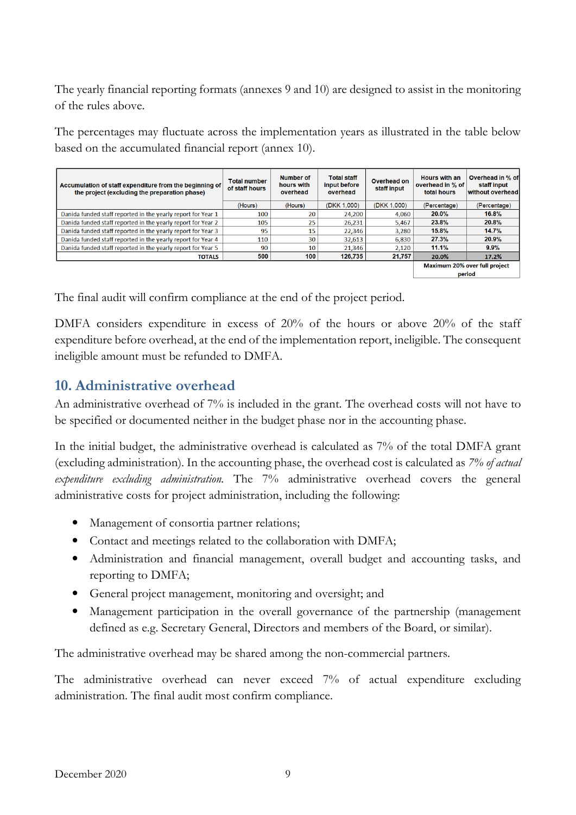The yearly financial reporting formats (annexes 9 and 10) are designed to assist in the monitoring of the rules above.

The percentages may fluctuate across the implementation years as illustrated in the table below based on the accumulated financial report (annex 10).

| Accumulation of staff expenditure from the beginning of<br>the project (excluding the preparation phase) | <b>Total number</b><br>of staff hours | <b>Number of</b><br>hours with<br>overhead | <b>Total staff</b><br>input before<br>overhead | Overhead on<br>staff input | <b>Hours with an</b><br>overhead in % of<br>total hours | Overhead in % of<br>staff input<br>without overhead |  |
|----------------------------------------------------------------------------------------------------------|---------------------------------------|--------------------------------------------|------------------------------------------------|----------------------------|---------------------------------------------------------|-----------------------------------------------------|--|
|                                                                                                          | (Hours)                               | (Hours)                                    | (DKK 1,000)                                    | (DKK 1,000)                | (Percentage)                                            | (Percentage)                                        |  |
| Danida funded staff reported in the yearly report for Year 1                                             | 100                                   | 20                                         | 24.200                                         | 4.060                      | 20.0%                                                   | 16.8%                                               |  |
| Danida funded staff reported in the yearly report for Year 2                                             | 105                                   | 25                                         | 26,231                                         | 5,467                      | 23.8%                                                   | 20.8%                                               |  |
| Danida funded staff reported in the yearly report for Year 3                                             | 95                                    | 15                                         | 22.346                                         | 3.280                      | 15.8%                                                   | 14.7%                                               |  |
| Danida funded staff reported in the yearly report for Year 4                                             | 110                                   | 30                                         | 32,613                                         | 6.830                      | 27.3%                                                   | 20.9%                                               |  |
| Danida funded staff reported in the yearly report for Year 5                                             | 90                                    | 10                                         | 21,346                                         | 2,120                      | 11.1%                                                   | $9.9\%$                                             |  |
| <b>TOTALS</b>                                                                                            | 500                                   | 100                                        | 126,735                                        | 21.757                     | 20.0%                                                   | 17.2%                                               |  |
|                                                                                                          |                                       |                                            |                                                |                            |                                                         | <b>Maximum 20% over full project</b><br>period      |  |

The final audit will confirm compliance at the end of the project period.

DMFA considers expenditure in excess of 20% of the hours or above 20% of the staff expenditure before overhead, at the end of the implementation report, ineligible. The consequent ineligible amount must be refunded to DMFA.

## **10. Administrative overhead**

An administrative overhead of 7% is included in the grant. The overhead costs will not have to be specified or documented neither in the budget phase nor in the accounting phase.

In the initial budget, the administrative overhead is calculated as 7% of the total DMFA grant (excluding administration). In the accounting phase, the overhead cost is calculated as *7% of actual expenditure excluding administration.* The 7% administrative overhead covers the general administrative costs for project administration, including the following:

- Management of consortia partner relations;
- Contact and meetings related to the collaboration with DMFA;
- Administration and financial management, overall budget and accounting tasks, and reporting to DMFA;
- General project management, monitoring and oversight; and
- Management participation in the overall governance of the partnership (management defined as e.g. Secretary General, Directors and members of the Board, or similar).

The administrative overhead may be shared among the non-commercial partners.

The administrative overhead can never exceed 7% of actual expenditure excluding administration. The final audit most confirm compliance.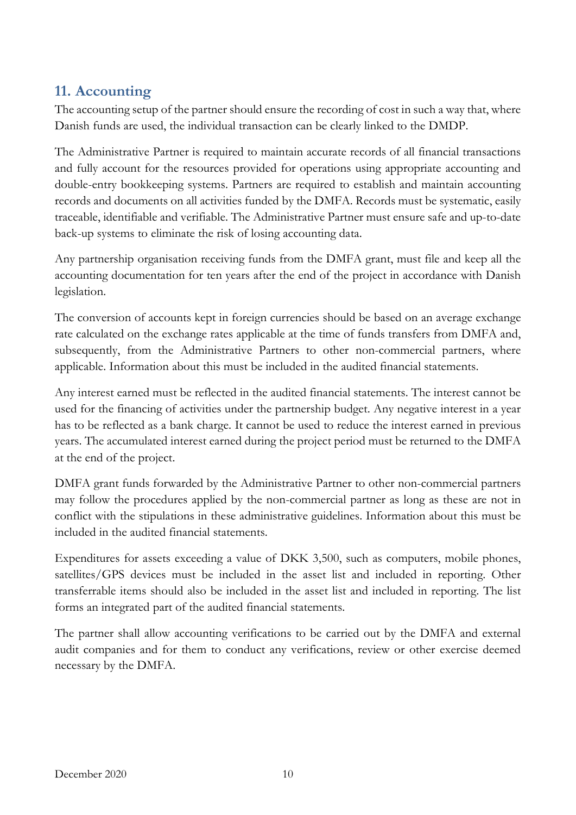## **11. Accounting**

The accounting setup of the partner should ensure the recording of cost in such a way that, where Danish funds are used, the individual transaction can be clearly linked to the DMDP.

The Administrative Partner is required to maintain accurate records of all financial transactions and fully account for the resources provided for operations using appropriate accounting and double-entry bookkeeping systems. Partners are required to establish and maintain accounting records and documents on all activities funded by the DMFA. Records must be systematic, easily traceable, identifiable and verifiable. The Administrative Partner must ensure safe and up-to-date back-up systems to eliminate the risk of losing accounting data.

Any partnership organisation receiving funds from the DMFA grant, must file and keep all the accounting documentation for ten years after the end of the project in accordance with Danish legislation.

The conversion of accounts kept in foreign currencies should be based on an average exchange rate calculated on the exchange rates applicable at the time of funds transfers from DMFA and, subsequently, from the Administrative Partners to other non-commercial partners, where applicable. Information about this must be included in the audited financial statements.

Any interest earned must be reflected in the audited financial statements. The interest cannot be used for the financing of activities under the partnership budget. Any negative interest in a year has to be reflected as a bank charge. It cannot be used to reduce the interest earned in previous years. The accumulated interest earned during the project period must be returned to the DMFA at the end of the project.

DMFA grant funds forwarded by the Administrative Partner to other non-commercial partners may follow the procedures applied by the non-commercial partner as long as these are not in conflict with the stipulations in these administrative guidelines. Information about this must be included in the audited financial statements.

Expenditures for assets exceeding a value of DKK 3,500, such as computers, mobile phones, satellites/GPS devices must be included in the asset list and included in reporting. Other transferrable items should also be included in the asset list and included in reporting. The list forms an integrated part of the audited financial statements.

The partner shall allow accounting verifications to be carried out by the DMFA and external audit companies and for them to conduct any verifications, review or other exercise deemed necessary by the DMFA.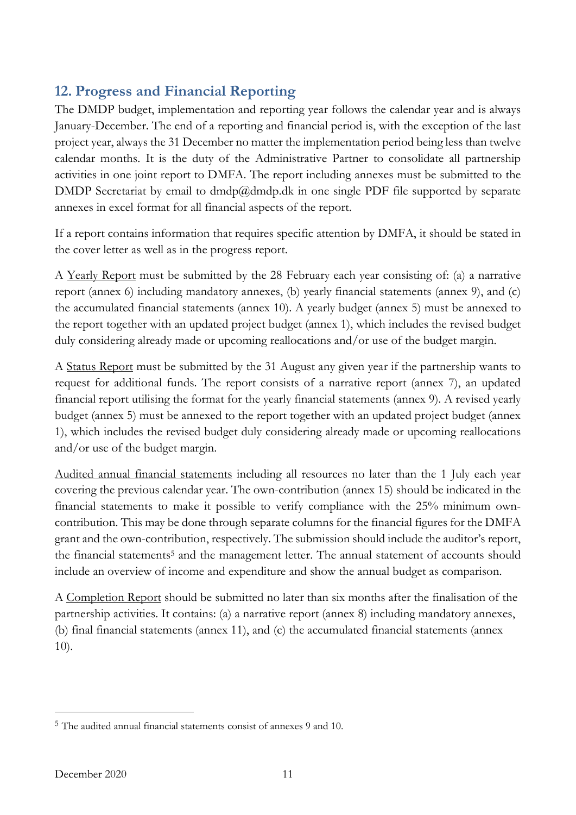## **12. Progress and Financial Reporting**

The DMDP budget, implementation and reporting year follows the calendar year and is always January-December. The end of a reporting and financial period is, with the exception of the last project year, always the 31 December no matter the implementation period being less than twelve calendar months. It is the duty of the Administrative Partner to consolidate all partnership activities in one joint report to DMFA. The report including annexes must be submitted to the DMDP Secretariat by email to dmdp@dmdp.dk in one single PDF file supported by separate annexes in excel format for all financial aspects of the report.

If a report contains information that requires specific attention by DMFA, it should be stated in the cover letter as well as in the progress report.

A Yearly Report must be submitted by the 28 February each year consisting of: (a) a narrative report (annex 6) including mandatory annexes, (b) yearly financial statements (annex 9), and (c) the accumulated financial statements (annex 10). A yearly budget (annex 5) must be annexed to the report together with an updated project budget (annex 1), which includes the revised budget duly considering already made or upcoming reallocations and/or use of the budget margin.

A Status Report must be submitted by the 31 August any given year if the partnership wants to request for additional funds. The report consists of a narrative report (annex 7), an updated financial report utilising the format for the yearly financial statements (annex 9). A revised yearly budget (annex 5) must be annexed to the report together with an updated project budget (annex 1), which includes the revised budget duly considering already made or upcoming reallocations and/or use of the budget margin.

Audited annual financial statements including all resources no later than the 1 July each year covering the previous calendar year. The own-contribution (annex 15) should be indicated in the financial statements to make it possible to verify compliance with the 25% minimum owncontribution. This may be done through separate columns for the financial figures for the DMFA grant and the own-contribution, respectively. The submission should include the auditor's report, the financial statements<sup>5</sup> and the management letter. The annual statement of accounts should include an overview of income and expenditure and show the annual budget as comparison.

A Completion Report should be submitted no later than six months after the finalisation of the partnership activities. It contains: (a) a narrative report (annex 8) including mandatory annexes, (b) final financial statements (annex 11), and (c) the accumulated financial statements (annex 10).

<sup>5</sup> The audited annual financial statements consist of annexes 9 and 10.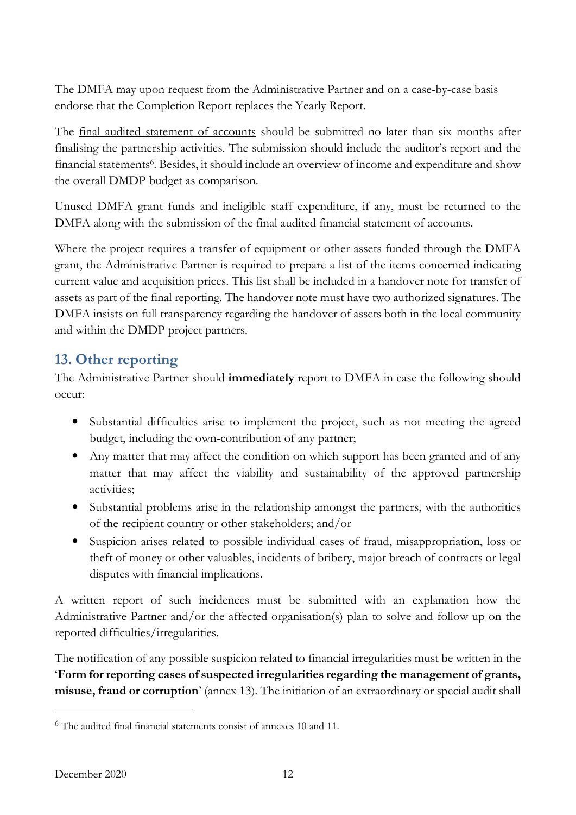The DMFA may upon request from the Administrative Partner and on a case-by-case basis endorse that the Completion Report replaces the Yearly Report.

The <u>final audited statement of accounts</u> should be submitted no later than six months after finalising the partnership activities. The submission should include the auditor's report and the financial statements<sup>6</sup>. Besides, it should include an overview of income and expenditure and show the overall DMDP budget as comparison.

Unused DMFA grant funds and ineligible staff expenditure, if any, must be returned to the DMFA along with the submission of the final audited financial statement of accounts.

Where the project requires a transfer of equipment or other assets funded through the DMFA grant, the Administrative Partner is required to prepare a list of the items concerned indicating current value and acquisition prices. This list shall be included in a handover note for transfer of assets as part of the final reporting. The handover note must have two authorized signatures. The DMFA insists on full transparency regarding the handover of assets both in the local community and within the DMDP project partners.

## **13. Other reporting**

The Administrative Partner should **immediately** report to DMFA in case the following should occur:

- Substantial difficulties arise to implement the project, such as not meeting the agreed budget, including the own-contribution of any partner;
- Any matter that may affect the condition on which support has been granted and of any matter that may affect the viability and sustainability of the approved partnership activities;
- Substantial problems arise in the relationship amongst the partners, with the authorities of the recipient country or other stakeholders; and/or
- Suspicion arises related to possible individual cases of fraud, misappropriation, loss or theft of money or other valuables, incidents of bribery, major breach of contracts or legal disputes with financial implications.

A written report of such incidences must be submitted with an explanation how the Administrative Partner and/or the affected organisation(s) plan to solve and follow up on the reported difficulties/irregularities.

The notification of any possible suspicion related to financial irregularities must be written in the '**Form for reporting cases of suspected irregularities regarding the management of grants, misuse, fraud or corruption**' (annex 13). The initiation of an extraordinary or special audit shall

<sup>6</sup> The audited final financial statements consist of annexes 10 and 11.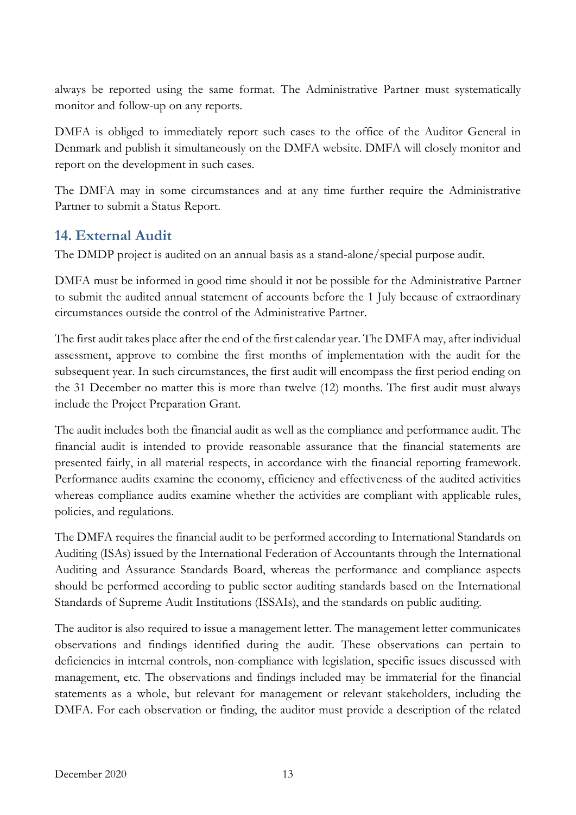always be reported using the same format. The Administrative Partner must systematically monitor and follow-up on any reports.

DMFA is obliged to immediately report such cases to the office of the Auditor General in Denmark and publish it simultaneously on the DMFA website. DMFA will closely monitor and report on the development in such cases.

The DMFA may in some circumstances and at any time further require the Administrative Partner to submit a Status Report.

## **14. External Audit**

The DMDP project is audited on an annual basis as a stand-alone/special purpose audit.

DMFA must be informed in good time should it not be possible for the Administrative Partner to submit the audited annual statement of accounts before the 1 July because of extraordinary circumstances outside the control of the Administrative Partner.

The first audit takes place after the end of the first calendar year. The DMFA may, after individual assessment, approve to combine the first months of implementation with the audit for the subsequent year. In such circumstances, the first audit will encompass the first period ending on the 31 December no matter this is more than twelve (12) months. The first audit must always include the Project Preparation Grant.

The audit includes both the financial audit as well as the compliance and performance audit. The financial audit is intended to provide reasonable assurance that the financial statements are presented fairly, in all material respects, in accordance with the financial reporting framework. Performance audits examine the economy, efficiency and effectiveness of the audited activities whereas compliance audits examine whether the activities are compliant with applicable rules, policies, and regulations.

The DMFA requires the financial audit to be performed according to International Standards on Auditing (ISAs) issued by the International Federation of Accountants through the International Auditing and Assurance Standards Board, whereas the performance and compliance aspects should be performed according to public sector auditing standards based on the International Standards of Supreme Audit Institutions (ISSAIs), and the standards on public auditing.

The auditor is also required to issue a management letter. The management letter communicates observations and findings identified during the audit. These observations can pertain to deficiencies in internal controls, non-compliance with legislation, specific issues discussed with management, etc. The observations and findings included may be immaterial for the financial statements as a whole, but relevant for management or relevant stakeholders, including the DMFA. For each observation or finding, the auditor must provide a description of the related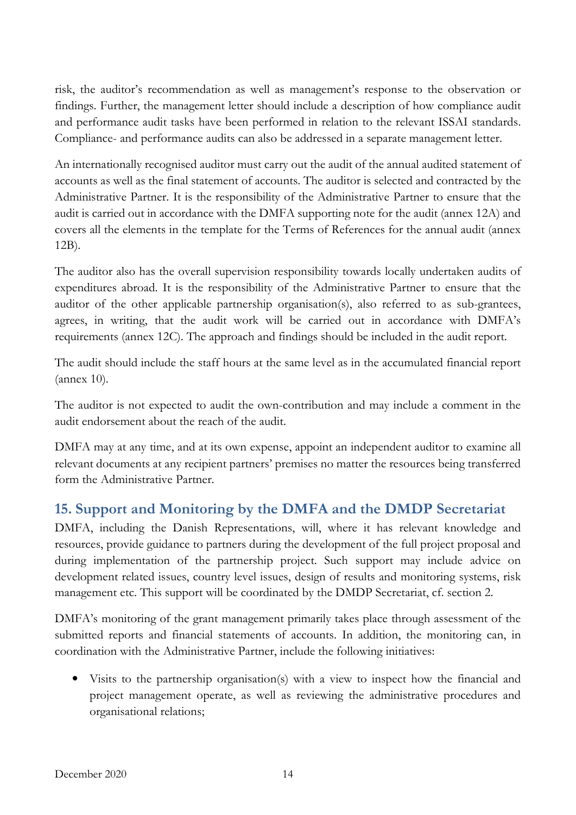risk, the auditor's recommendation as well as management's response to the observation or findings. Further, the management letter should include a description of how compliance audit and performance audit tasks have been performed in relation to the relevant ISSAI standards. Compliance- and performance audits can also be addressed in a separate management letter.

An internationally recognised auditor must carry out the audit of the annual audited statement of accounts as well as the final statement of accounts. The auditor is selected and contracted by the Administrative Partner. It is the responsibility of the Administrative Partner to ensure that the audit is carried out in accordance with the DMFA supporting note for the audit (annex 12A) and covers all the elements in the template for the Terms of References for the annual audit (annex 12B).

The auditor also has the overall supervision responsibility towards locally undertaken audits of expenditures abroad. It is the responsibility of the Administrative Partner to ensure that the auditor of the other applicable partnership organisation(s), also referred to as sub-grantees, agrees, in writing, that the audit work will be carried out in accordance with DMFA's requirements (annex 12C). The approach and findings should be included in the audit report.

The audit should include the staff hours at the same level as in the accumulated financial report (annex 10).

The auditor is not expected to audit the own-contribution and may include a comment in the audit endorsement about the reach of the audit.

DMFA may at any time, and at its own expense, appoint an independent auditor to examine all relevant documents at any recipient partners' premises no matter the resources being transferred form the Administrative Partner.

## **15. Support and Monitoring by the DMFA and the DMDP Secretariat**

DMFA, including the Danish Representations, will, where it has relevant knowledge and resources, provide guidance to partners during the development of the full project proposal and during implementation of the partnership project. Such support may include advice on development related issues, country level issues, design of results and monitoring systems, risk management etc. This support will be coordinated by the DMDP Secretariat, cf. section 2.

DMFA's monitoring of the grant management primarily takes place through assessment of the submitted reports and financial statements of accounts. In addition, the monitoring can, in coordination with the Administrative Partner, include the following initiatives:

• Visits to the partnership organisation(s) with a view to inspect how the financial and project management operate, as well as reviewing the administrative procedures and organisational relations;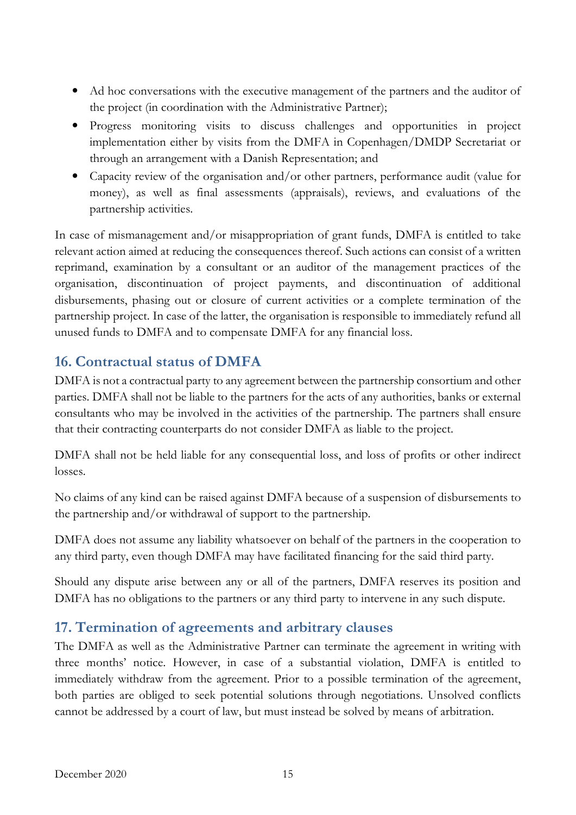- Ad hoc conversations with the executive management of the partners and the auditor of the project (in coordination with the Administrative Partner);
- Progress monitoring visits to discuss challenges and opportunities in project implementation either by visits from the DMFA in Copenhagen/DMDP Secretariat or through an arrangement with a Danish Representation; and
- Capacity review of the organisation and/or other partners, performance audit (value for money), as well as final assessments (appraisals), reviews, and evaluations of the partnership activities.

In case of mismanagement and/or misappropriation of grant funds, DMFA is entitled to take relevant action aimed at reducing the consequences thereof. Such actions can consist of a written reprimand, examination by a consultant or an auditor of the management practices of the organisation, discontinuation of project payments, and discontinuation of additional disbursements, phasing out or closure of current activities or a complete termination of the partnership project. In case of the latter, the organisation is responsible to immediately refund all unused funds to DMFA and to compensate DMFA for any financial loss.

## **16. Contractual status of DMFA**

DMFA is not a contractual party to any agreement between the partnership consortium and other parties. DMFA shall not be liable to the partners for the acts of any authorities, banks or external consultants who may be involved in the activities of the partnership. The partners shall ensure that their contracting counterparts do not consider DMFA as liable to the project.

DMFA shall not be held liable for any consequential loss, and loss of profits or other indirect losses.

No claims of any kind can be raised against DMFA because of a suspension of disbursements to the partnership and/or withdrawal of support to the partnership.

DMFA does not assume any liability whatsoever on behalf of the partners in the cooperation to any third party, even though DMFA may have facilitated financing for the said third party.

Should any dispute arise between any or all of the partners, DMFA reserves its position and DMFA has no obligations to the partners or any third party to intervene in any such dispute.

#### **17. Termination of agreements and arbitrary clauses**

The DMFA as well as the Administrative Partner can terminate the agreement in writing with three months' notice. However, in case of a substantial violation, DMFA is entitled to immediately withdraw from the agreement. Prior to a possible termination of the agreement, both parties are obliged to seek potential solutions through negotiations. Unsolved conflicts cannot be addressed by a court of law, but must instead be solved by means of arbitration.